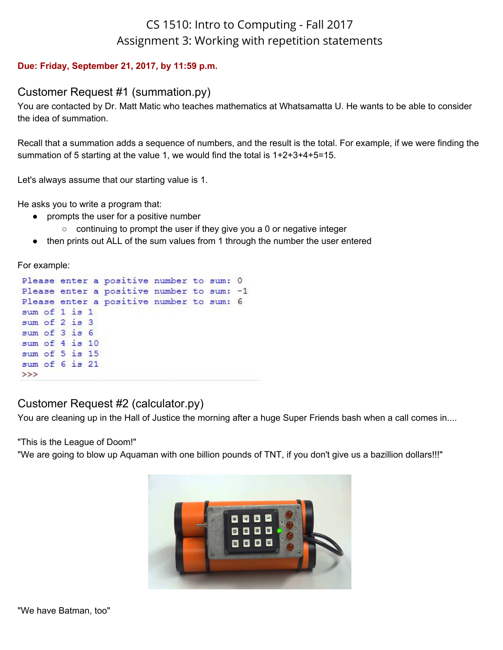# CS 1510: Intro to Computing - Fall 2017 Assignment 3: Working with repetition statements

#### **Due: Friday, September 21, 2017, by 11:59 p.m.**

## Customer Request #1 (summation.py)

You are contacted by Dr. Matt Matic who teaches mathematics at Whatsamatta U. He wants to be able to consider the idea of summation.

Recall that a summation adds a sequence of numbers, and the result is the total. For example, if we were finding the summation of 5 starting at the value 1, we would find the total is 1+2+3+4+5=15.

Let's always assume that our starting value is 1.

He asks you to write a program that:

- prompts the user for a positive number
	- continuing to prompt the user if they give you a 0 or negative integer
- then prints out ALL of the sum values from 1 through the number the user entered

For example:

|               |                | Please enter a positive number to sum: 0  |  |  |
|---------------|----------------|-------------------------------------------|--|--|
|               |                | Please enter a positive number to sum: -1 |  |  |
|               |                | Please enter a positive number to sum: 6  |  |  |
|               | sum of 1 is 1  |                                           |  |  |
| sum of 2 is 3 |                |                                           |  |  |
|               | sum of 3 is 6  |                                           |  |  |
|               | sum of 4 is 10 |                                           |  |  |
|               | sum of 5 is 15 |                                           |  |  |
|               | sum of 6 is 21 |                                           |  |  |
| >>>           |                |                                           |  |  |

# Customer Request #2 (calculator.py)

You are cleaning up in the Hall of Justice the morning after a huge Super Friends bash when a call comes in....

"This is the League of Doom!"

"We are going to blow up Aquaman with one billion pounds of TNT, if you don't give us a bazillion dollars!!!"

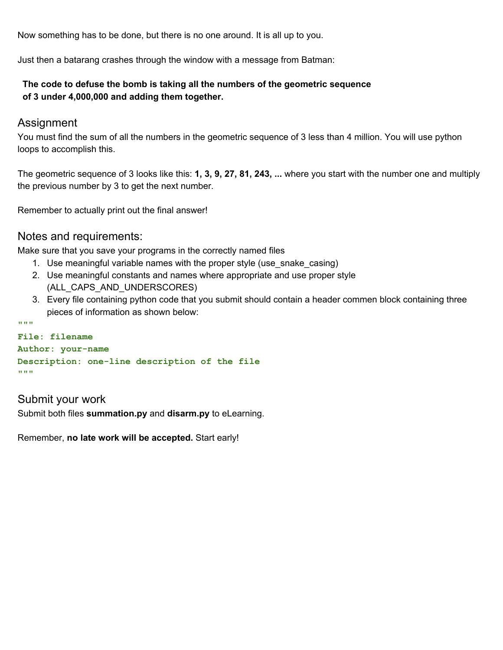Now something has to be done, but there is no one around. It is all up to you.

Just then a batarang crashes through the window with a message from Batman:

#### **The code to defuse the bomb is taking all the numbers of the geometric sequence of 3 under 4,000,000 and adding them together.**

### Assignment

You must find the sum of all the numbers in the geometric sequence of 3 less than 4 million. You will use python loops to accomplish this.

The geometric sequence of 3 looks like this: **1, 3, 9, 27, 81, 243, ...** where you start with the number one and multiply the previous number by 3 to get the next number.

Remember to actually print out the final answer!

### Notes and requirements:

Make sure that you save your programs in the correctly named files

- 1. Use meaningful variable names with the proper style (use\_snake\_casing)
- 2. Use meaningful constants and names where appropriate and use proper style (ALL\_CAPS\_AND\_UNDERSCORES)
- 3. Every file containing python code that you submit should contain a header commen block containing three pieces of information as shown below:

```
File: filename
Author: your-name
Description: one-line description of the file
"""
```
## Submit your work

**"""**

Submit both files **summation.py** and **disarm.py** to eLearning.

Remember, **no late work will be accepted.** Start early!